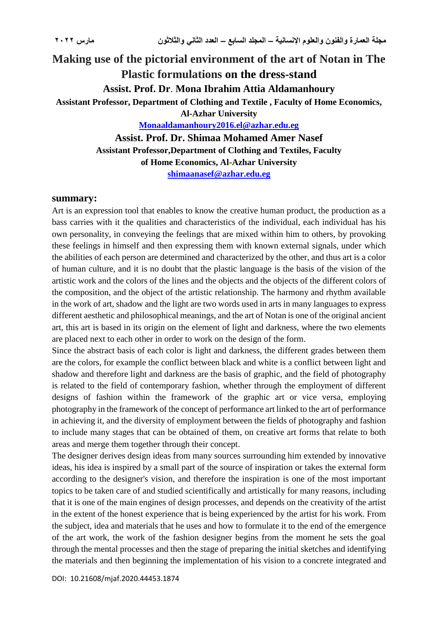# **Making use of the pictorial environment of the art of Notan in The Plastic formulations on the dress-stand Assist. Prof. Dr**. **Mona Ibrahim Attia Aldamanhoury Assistant Professor, Department of Clothing and Textile , Faculty of Home Economics, Al-Azhar University [Monaaldamanhoury2016.el@azhar.edu.eg](mailto:Monaaldamanhoury2016.el@azhar.edu.eg) Assist. Prof. Dr. Shimaa Mohamed Amer Nasef**

**Assistant Professor,Department of Clothing and Textiles, Faculty of Home Economics, Al-Azhar University [shimaanasef@azhar.edu.eg](mailto:shimaanasef@azhar.edu.eg)**

#### **summary:**

Art is an expression tool that enables to know the creative human product, the production as a bass carries with it the qualities and characteristics of the individual, each individual has his own personality, in conveying the feelings that are mixed within him to others, by provoking these feelings in himself and then expressing them with known external signals, under which the abilities of each person are determined and characterized by the other, and thus art is a color of human culture, and it is no doubt that the plastic language is the basis of the vision of the artistic work and the colors of the lines and the objects and the objects of the different colors of the composition, and the object of the artistic relationship. The harmony and rhythm available in the work of art, shadow and the light are two words used in arts in many languages to express different aesthetic and philosophical meanings, and the art of Notan is one of the original ancient art, this art is based in its origin on the element of light and darkness, where the two elements are placed next to each other in order to work on the design of the form.

Since the abstract basis of each color is light and darkness, the different grades between them are the colors, for example the conflict between black and white is a conflict between light and shadow and therefore light and darkness are the basis of graphic, and the field of photography is related to the field of contemporary fashion, whether through the employment of different designs of fashion within the framework of the graphic art or vice versa, employing photography in the framework of the concept of performance art linked to the art of performance in achieving it, and the diversity of employment between the fields of photography and fashion to include many stages that can be obtained of them, on creative art forms that relate to both areas and merge them together through their concept.

The designer derives design ideas from many sources surrounding him extended by innovative ideas, his idea is inspired by a small part of the source of inspiration or takes the external form according to the designer's vision, and therefore the inspiration is one of the most important topics to be taken care of and studied scientifically and artistically for many reasons, including that it is one of the main engines of design processes, and depends on the creativity of the artist in the extent of the honest experience that is being experienced by the artist for his work. From the subject, idea and materials that he uses and how to formulate it to the end of the emergence of the art work, the work of the fashion designer begins from the moment he sets the goal through the mental processes and then the stage of preparing the initial sketches and identifying the materials and then beginning the implementation of his vision to a concrete integrated and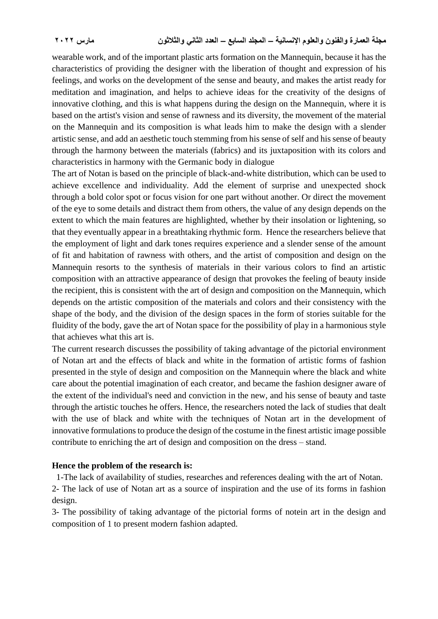wearable work, and of the important plastic arts formation on the Mannequin, because it has the characteristics of providing the designer with the liberation of thought and expression of his feelings, and works on the development of the sense and beauty, and makes the artist ready for meditation and imagination, and helps to achieve ideas for the creativity of the designs of innovative clothing, and this is what happens during the design on the Mannequin, where it is based on the artist's vision and sense of rawness and its diversity, the movement of the material on the Mannequin and its composition is what leads him to make the design with a slender artistic sense, and add an aesthetic touch stemming from his sense of self and his sense of beauty through the harmony between the materials (fabrics) and its juxtaposition with its colors and characteristics in harmony with the Germanic body in dialogue

The art of Notan is based on the principle of black-and-white distribution, which can be used to achieve excellence and individuality. Add the element of surprise and unexpected shock through a bold color spot or focus vision for one part without another. Or direct the movement of the eye to some details and distract them from others, the value of any design depends on the extent to which the main features are highlighted, whether by their insolation or lightening, so that they eventually appear in a breathtaking rhythmic form. Hence the researchers believe that the employment of light and dark tones requires experience and a slender sense of the amount of fit and habitation of rawness with others, and the artist of composition and design on the Mannequin resorts to the synthesis of materials in their various colors to find an artistic composition with an attractive appearance of design that provokes the feeling of beauty inside the recipient, this is consistent with the art of design and composition on the Mannequin, which depends on the artistic composition of the materials and colors and their consistency with the shape of the body, and the division of the design spaces in the form of stories suitable for the fluidity of the body, gave the art of Notan space for the possibility of play in a harmonious style that achieves what this art is.

The current research discusses the possibility of taking advantage of the pictorial environment of Notan art and the effects of black and white in the formation of artistic forms of fashion presented in the style of design and composition on the Mannequin where the black and white care about the potential imagination of each creator, and became the fashion designer aware of the extent of the individual's need and conviction in the new, and his sense of beauty and taste through the artistic touches he offers. Hence, the researchers noted the lack of studies that dealt with the use of black and white with the techniques of Notan art in the development of innovative formulations to produce the design of the costume in the finest artistic image possible contribute to enriching the art of design and composition on the dress – stand.

### **Hence the problem of the research is:**

1-The lack of availability of studies, researches and references dealing with the art of Notan.

2- The lack of use of Notan art as a source of inspiration and the use of its forms in fashion design.

3- The possibility of taking advantage of the pictorial forms of notein art in the design and composition of 1 to present modern fashion adapted.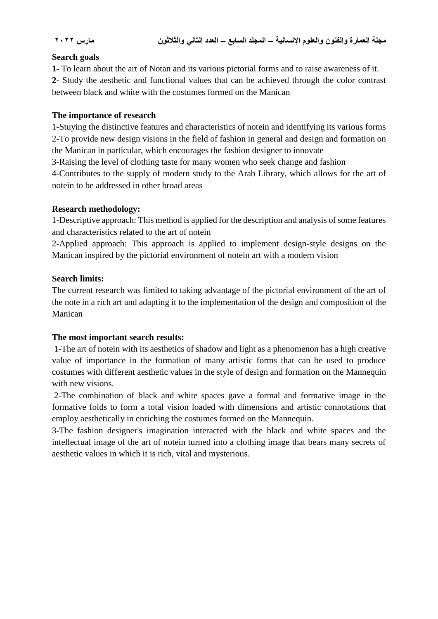#### **Search goals**

**1-** To learn about the art of Notan and its various pictorial forms and to raise awareness of it. **2-** Study the aesthetic and functional values that can be achieved through the color contrast between black and white with the costumes formed on the Manican

### **The importance of research**

1-Stuying the distinctive features and characteristics of notein and identifying its various forms 2-To provide new design visions in the field of fashion in general and design and formation on the Manican in particular, which encourages the fashion designer to innovate

3-Raising the level of clothing taste for many women who seek change and fashion

4-Contributes to the supply of modern study to the Arab Library, which allows for the art of notein to be addressed in other broad areas

### **Research methodology:**

1-Descriptive approach: This method is applied for the description and analysis of some features and characteristics related to the art of notein

2-Applied approach: This approach is applied to implement design-style designs on the Manican inspired by the pictorial environment of notein art with a modern vision

### **Search limits:**

The current research was limited to taking advantage of the pictorial environment of the art of the note in a rich art and adapting it to the implementation of the design and composition of the Manican

### **The most important search results:**

1-The art of notein with its aesthetics of shadow and light as a phenomenon has a high creative value of importance in the formation of many artistic forms that can be used to produce costumes with different aesthetic values in the style of design and formation on the Mannequin with new visions.

2-The combination of black and white spaces gave a formal and formative image in the formative folds to form a total vision loaded with dimensions and artistic connotations that employ aesthetically in enriching the costumes formed on the Mannequin.

3-The fashion designer's imagination interacted with the black and white spaces and the intellectual image of the art of notein turned into a clothing image that bears many secrets of aesthetic values in which it is rich, vital and mysterious.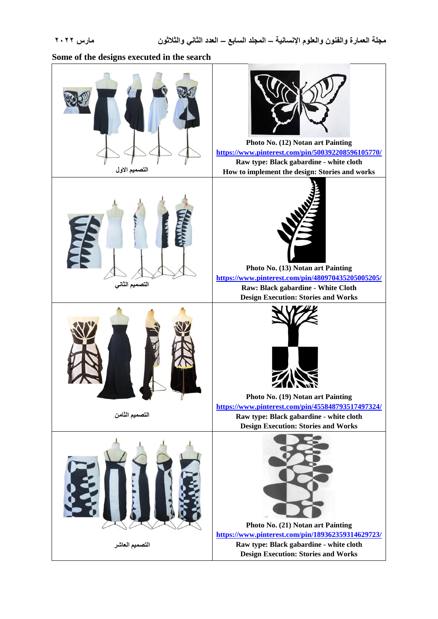**Some of the designs executed in the search**